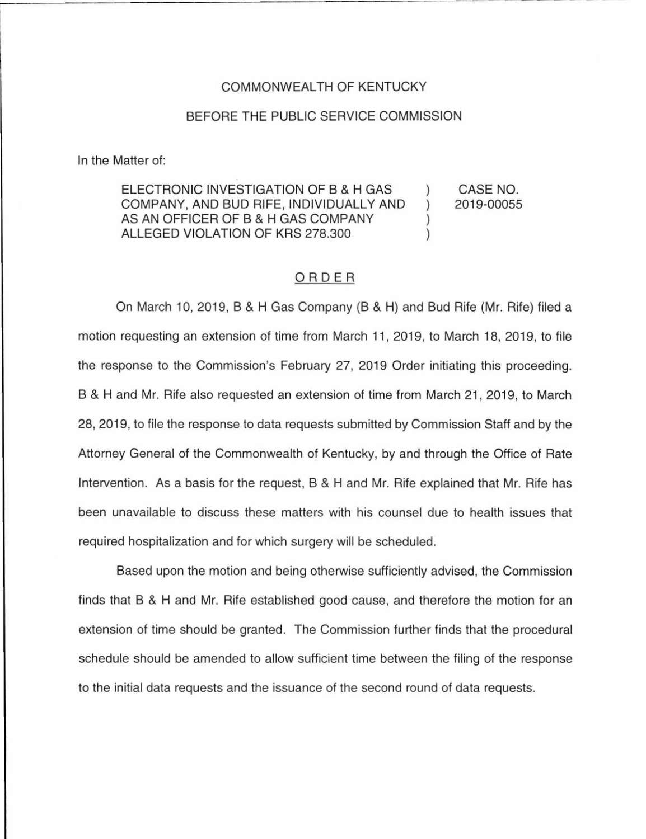#### COMMONWEALTH OF KENTUCKY

#### BEFORE THE PUBLIC SERVICE COMMISSION

In the Matter of:

ELECTRONIC INVESTIGATION OF B & H GAS COMPANY, AND BUD RIFE, INDIVIDUALLY AND ) AS AN OFFICER OF B & H GAS COMPANY ALLEGED VIOLATION OF KRS 278.300 ) CASE NO. 2019-00055

### ORDER

On March 10, 2019, B & H Gas Company (8 & H) and Bud Rife (Mr. Rife) filed a motion requesting an extension of time from March 11, 2019, to March 18, 2019, to file the response to the Commission's February 27, 2019 Order initiating this proceeding. B & Hand Mr. Rife also requested an extension of time from March 21 , 2019, to March 28, 2019, to file the response to data requests submitted by Commission Staff and by the Attorney General of the Commonwealth of Kentucky, by and through the Office of Rate Intervention. As a basis for the request, B & H and Mr. Rife explained that Mr. Rife has been unavailable to discuss these matters with his counsel due to health issues that required hospitalization and for which surgery will be scheduled.

Based upon the motion and being otherwise sufficiently advised, the Commission finds that B & H and Mr. Rife established good cause, and therefore the motion for an extension of time should be granted. The Commission further finds that the procedural schedule should be amended to allow sufficient time between the filing of the response to the initial data requests and the issuance of the second round of data requests.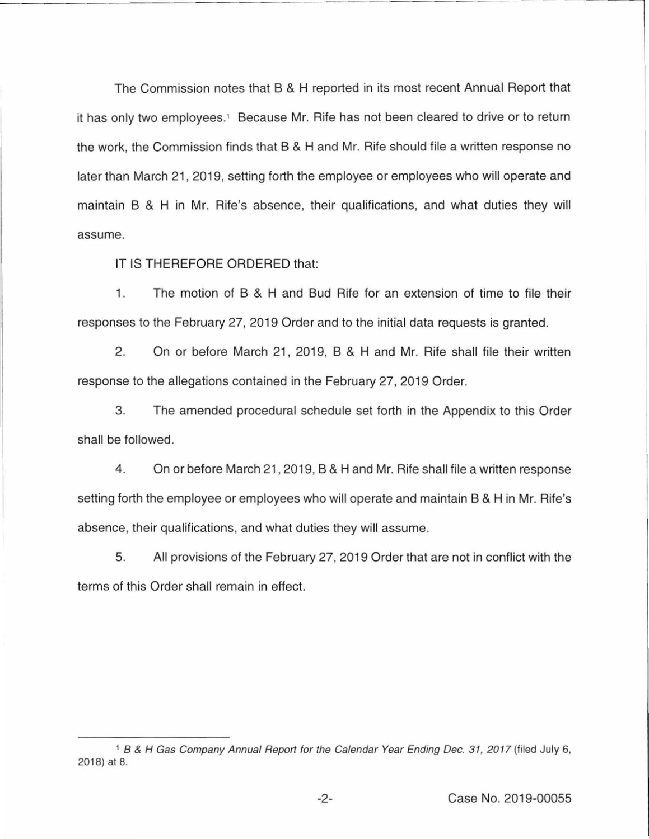The Commission notes that B & H reported in its most recent Annual Report that it has only two employees.<sup>1</sup> Because Mr. Rife has not been cleared to drive or to return the work, the Commission finds that B & H and Mr. Rife should file a written response no later than March 21, 2019, setting forth the employee or employees who will operate and maintain B & H in Mr. Rite's absence, their qualifications, and what duties they will assume.

IT IS THEREFORE ORDERED that:

1. The motion of B & H and Bud Rife for an extension of time to file their responses to the February 27, 2019 Order and to the initial data requests is granted.

2. On or before March 21, 2019, B & H and Mr. Rife shall file their written response to the allegations contained in the February 27, 2019 Order.

3. The amended procedural schedule set forth in the Appendix to this Order shall be followed.

4. On or before March 21, 2019, B & H and Mr. Rife shall file a written response setting forth the employee or employees who will operate and maintain B & H in Mr. Rite's absence, their qualifications, and what duties they will assume.

5. All provisions of the February 27, 2019 Order that are not in conflict with the terms of this Order shall remain in effect.

<sup>&</sup>lt;sup>1</sup> B & H Gas Company Annual Report for the Calendar Year Ending Dec. 31, 2017 (filed July 6, 2018) at 8.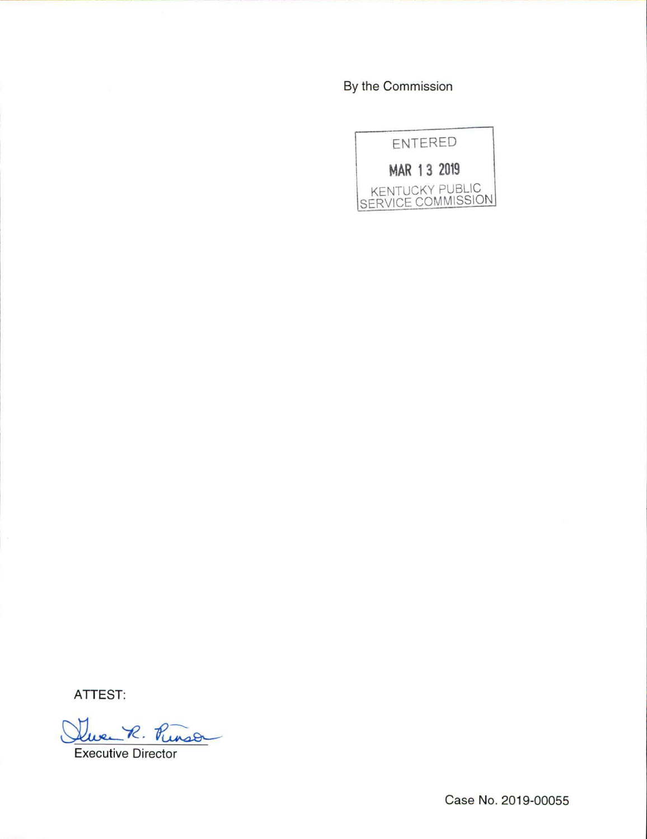By the Commission



**ATTEST:** 

en R. Runson

Executive Director

Case No. 2019-00055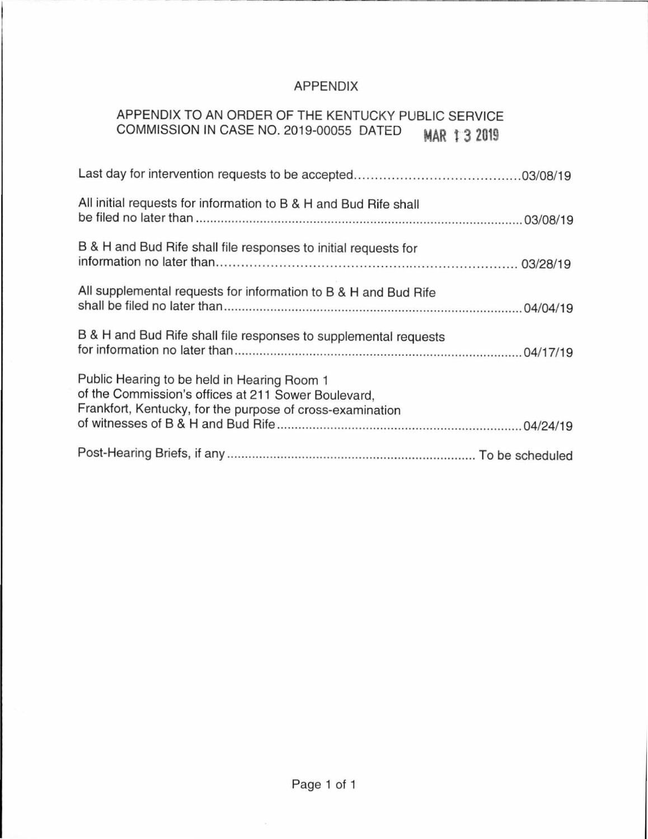## APPENDIX

# APPENDIX TO AN ORDER OF THE KENTUCKY PUBLIC SERVICE COMMISSION IN CASE NO. 2019-00055 DATED **MAR t 3 2019**

| All initial requests for information to B & H and Bud Rife shall                                                                                                |
|-----------------------------------------------------------------------------------------------------------------------------------------------------------------|
| B & H and Bud Rife shall file responses to initial requests for                                                                                                 |
| All supplemental requests for information to B & H and Bud Rife                                                                                                 |
| B & H and Bud Rife shall file responses to supplemental requests                                                                                                |
| Public Hearing to be held in Hearing Room 1<br>of the Commission's offices at 211 Sower Boulevard,<br>Frankfort, Kentucky, for the purpose of cross-examination |
|                                                                                                                                                                 |